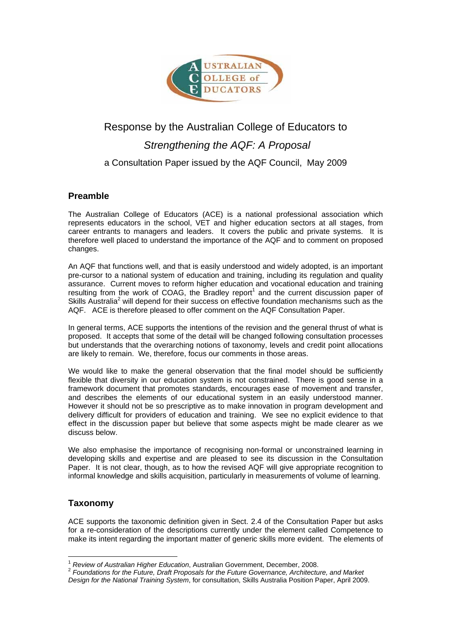

# Response by the Australian College of Educators to *Strengthening the AQF: A Proposal* a Consultation Paper issued by the AQF Council, May 2009

# **Preamble**

The Australian College of Educators (ACE) is a national professional association which represents educators in the school, VET and higher education sectors at all stages, from career entrants to managers and leaders. It covers the public and private systems. It is therefore well placed to understand the importance of the AQF and to comment on proposed changes.

An AQF that functions well, and that is easily understood and widely adopted, is an important pre-cursor to a national system of education and training, including its regulation and quality assurance. Current moves to reform higher education and vocational education and training resulting from the work of COAG, the Bradley report<sup>1</sup> and the current discussion paper of Skills Australia<sup>2</sup> will depend for their success on effective foundation mechanisms such as the AQF. ACE is therefore pleased to offer comment on the AQF Consultation Paper.

In general terms, ACE supports the intentions of the revision and the general thrust of what is proposed. It accepts that some of the detail will be changed following consultation processes but understands that the overarching notions of taxonomy, levels and credit point allocations are likely to remain. We, therefore, focus our comments in those areas.

We would like to make the general observation that the final model should be sufficiently flexible that diversity in our education system is not constrained. There is good sense in a framework document that promotes standards, encourages ease of movement and transfer, and describes the elements of our educational system in an easily understood manner. However it should not be so prescriptive as to make innovation in program development and delivery difficult for providers of education and training. We see no explicit evidence to that effect in the discussion paper but believe that some aspects might be made clearer as we discuss below.

We also emphasise the importance of recognising non-formal or unconstrained learning in developing skills and expertise and are pleased to see its discussion in the Consultation Paper. It is not clear, though, as to how the revised AQF will give appropriate recognition to informal knowledge and skills acquisition, particularly in measurements of volume of learning.

# **Taxonomy**

ACE supports the taxonomic definition given in Sect. 2.4 of the Consultation Paper but asks for a re-consideration of the descriptions currently under the element called Competence to make its intent regarding the important matter of generic skills more evident. The elements of

 $\overline{a}$ 

<sup>&</sup>lt;sup>1</sup> *Review of Australian Higher Education*, Australian Government, December, 2008.<br><sup>2</sup> *Foundations for the Future, Draft Proposals for the Future Governance, Architecture, and Market Design for the National Training System*, for consultation, Skills Australia Position Paper, April 2009.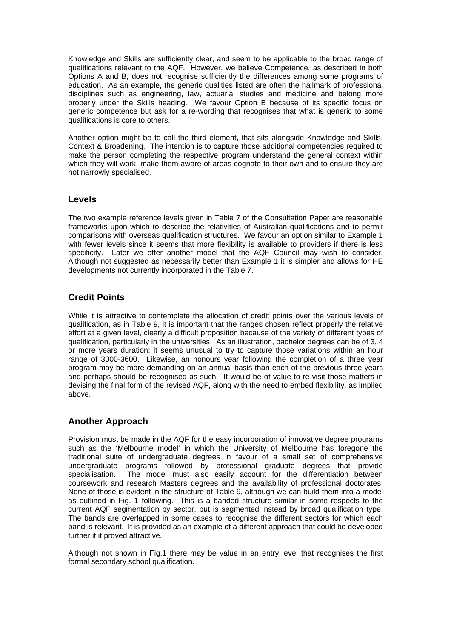Knowledge and Skills are sufficiently clear, and seem to be applicable to the broad range of qualifications relevant to the AQF. However, we believe Competence, as described in both Options A and B, does not recognise sufficiently the differences among some programs of education. As an example, the generic qualities listed are often the hallmark of professional disciplines such as engineering, law, actuarial studies and medicine and belong more properly under the Skills heading. We favour Option B because of its specific focus on generic competence but ask for a re-wording that recognises that what is generic to some qualifications is core to others.

Another option might be to call the third element, that sits alongside Knowledge and Skills, Context & Broadening. The intention is to capture those additional competencies required to make the person completing the respective program understand the general context within which they will work, make them aware of areas cognate to their own and to ensure they are not narrowly specialised.

#### **Levels**

The two example reference levels given in Table 7 of the Consultation Paper are reasonable frameworks upon which to describe the relativities of Australian qualifications and to permit comparisons with overseas qualification structures. We favour an option similar to Example 1 with fewer levels since it seems that more flexibility is available to providers if there is less specificity. Later we offer another model that the AQF Council may wish to consider. Although not suggested as necessarily better than Example 1 it is simpler and allows for HE developments not currently incorporated in the Table 7.

## **Credit Points**

While it is attractive to contemplate the allocation of credit points over the various levels of qualification, as in Table 9, it is important that the ranges chosen reflect properly the relative effort at a given level, clearly a difficult proposition because of the variety of different types of qualification, particularly in the universities. As an illustration, bachelor degrees can be of 3, 4 or more years duration; it seems unusual to try to capture those variations within an hour range of 3000-3600. Likewise, an honours year following the completion of a three year program may be more demanding on an annual basis than each of the previous three years and perhaps should be recognised as such. It would be of value to re-visit those matters in devising the final form of the revised AQF, along with the need to embed flexibility, as implied above.

## **Another Approach**

Provision must be made in the AQF for the easy incorporation of innovative degree programs such as the 'Melbourne model' in which the University of Melbourne has foregone the traditional suite of undergraduate degrees in favour of a small set of comprehensive undergraduate programs followed by professional graduate degrees that provide specialisation. The model must also easily account for the differentiation between coursework and research Masters degrees and the availability of professional doctorates. None of those is evident in the structure of Table 9, although we can build them into a model as outlined in Fig. 1 following. This is a banded structure similar in some respects to the current AQF segmentation by sector, but is segmented instead by broad qualification type. The bands are overlapped in some cases to recognise the different sectors for which each band is relevant. It is provided as an example of a different approach that could be developed further if it proved attractive.

Although not shown in Fig.1 there may be value in an entry level that recognises the first formal secondary school qualification.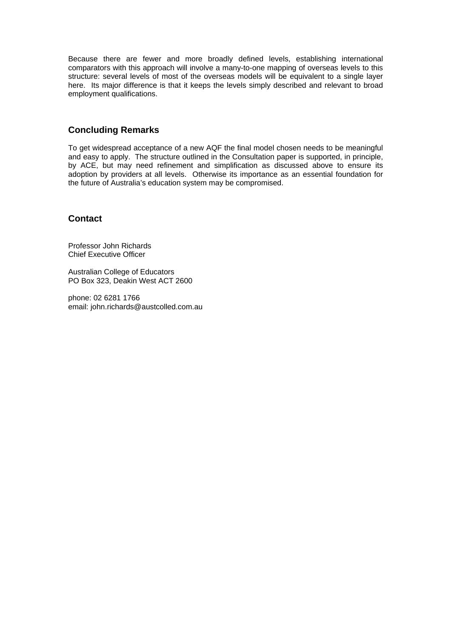Because there are fewer and more broadly defined levels, establishing international comparators with this approach will involve a many-to-one mapping of overseas levels to this structure: several levels of most of the overseas models will be equivalent to a single layer here. Its major difference is that it keeps the levels simply described and relevant to broad employment qualifications.

## **Concluding Remarks**

To get widespread acceptance of a new AQF the final model chosen needs to be meaningful and easy to apply. The structure outlined in the Consultation paper is supported, in principle, by ACE, but may need refinement and simplification as discussed above to ensure its adoption by providers at all levels. Otherwise its importance as an essential foundation for the future of Australia's education system may be compromised.

#### **Contact**

Professor John Richards Chief Executive Officer

Australian College of Educators PO Box 323, Deakin West ACT 2600

phone: 02 6281 1766 email: john.richards@austcolled.com.au